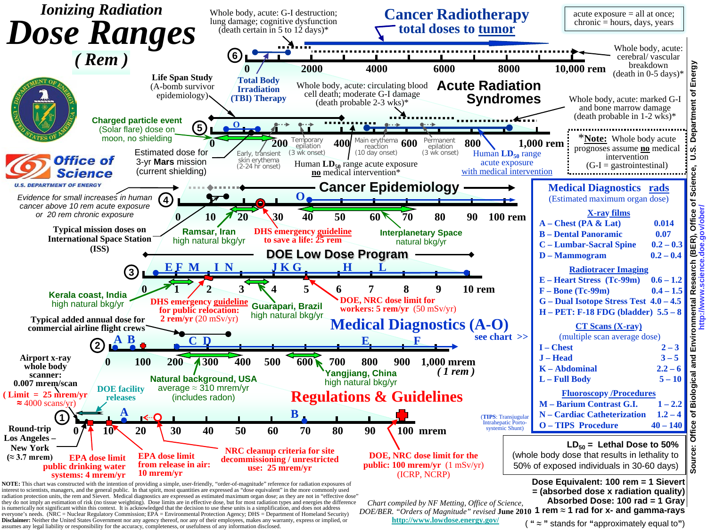

is numerically not significant within this context. It is acknowledged that the decision to use these units is a simplification, and does not address<br>everyone's needs. (NRC = Nuclear Regulatory Commission; EPA = Environme **Disclaimer:** Neither the United States Government nor any agency thereof, nor any of their employees, makes any warranty, express or implied, or assumes any legal liability or responsibility for the accuracy, completeness, or usefulness of any information disclosed.

*DOE/BER. "Orders of Magnitude" revised* June 2010 1 rem ≈ 1 rad for x- and gamma-rays

**<http://www.lowdose.energy.gov/>**

( **" ≈ "** stands for **"**approximately equal to**"**)

**Source: Office of Biological and Environmental Research (BER), Office of Science, U.S. Department of Energy**  Department of ဖ , Office of Science,<br>ov/ober/ **http://www.science.doe.gov/ober/** Research (BER),<br><mark>w.science.doe.go</mark> **Biological and Environmental** Office Source: